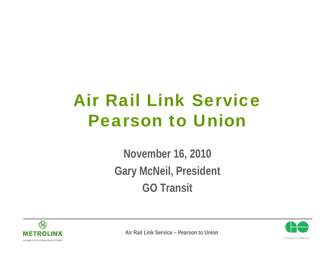# Air Rail Link ServicePearson to Union

**November 16, 2010 Gary McNeil, President GO Transit**



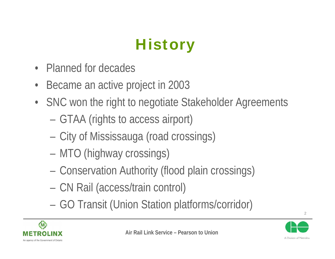# **History**

- •Planned for decades
- $\bullet$ Became an active project in 2003
- SNC won the right to negotiate Stakeholder Agreements
	- –GTAA (rights to access airport)
	- –City of Mississauga (road crossings)
	- –MTO (highway crossings)
	- –Conservation Authority (flood plain crossings)
	- –CN Rail (access/train control)
	- –GO Transit (Union Station platforms/corridor)



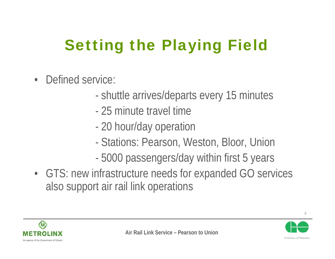# Setting the Playing Field

- $\bullet$  Defined service:
	- shuttle arrives/departs every 15 minutes
	- 25 minute travel time
	- -20 hour/day operation
	- -Stations: Pearson, Weston, Bloor, Union
	- -5000 passengers/day within first 5 years
- GTS: new infrastructure needs for expanded GO services also support air rail link operations





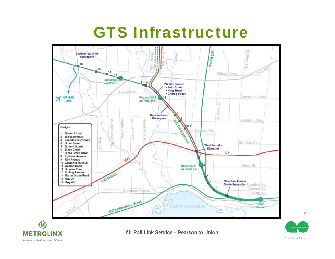## GTS Infrastructure





**Air Rail Link Service – Pearson to Union**

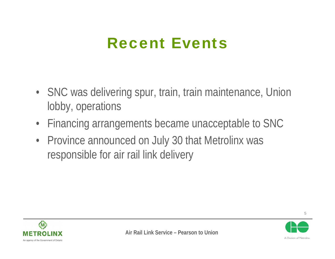### Recent Events

- SNC was delivering spur, train, train maintenance, Union lobby, operations
- •Financing arrangements became unacceptable to SNC
- Province announced on July 30 that Metrolinx was responsible for air rail link delivery



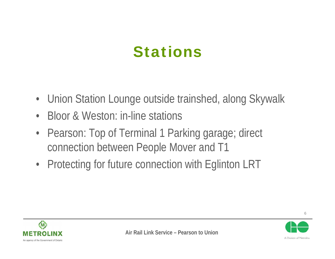## Stations

- Union Station Lounge outside trainshed, along Skywalk
- •Bloor & Weston: in-line stations
- Pearson: Top of Terminal 1 Parking garage; direct connection between People Mover and T1
- Protecting for future connection with Eglinton LRT



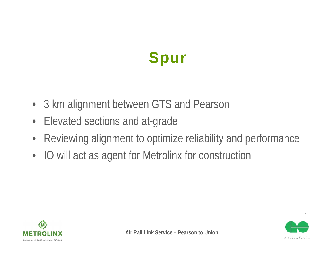## Spur

- 3 km alignment between GTS and Pearson
- •Elevated sections and at-grade
- •Reviewing alignment to optimize reliability and performance
- •IO will act as agent for Metrolinx for construction



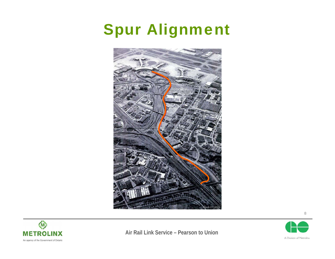## Spur Alignment





**Air Rail Link Service – Pearson to Union**

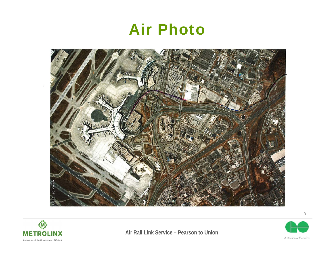#### Air Photo





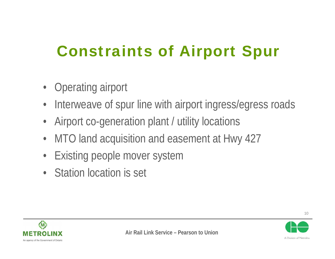## Constraints of Airport Spur

- $\bullet$ Operating airport
- •Interweave of spur line with airport ingress/egress roads
- •Airport co-generation plant / utility locations
- $\bullet$ MTO land acquisition and easement at Hwy 427
- $\bullet$ Existing people mover system
- $\bullet$  . Station location is set



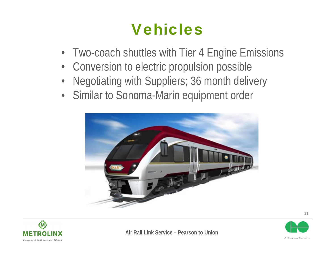## Vehicles

- Two-coach shuttles with Tier 4 Engine Emissions
- Conversion to electric propulsion possible
- •Negotiating with Suppliers; 36 month delivery
- Similar to Sonoma-Marin equipment order







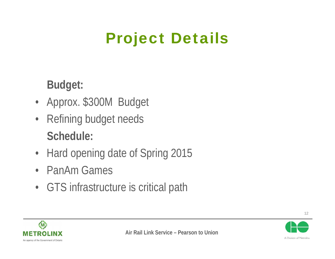## Project Details

**Budget:**

- Approx. \$300M Budget
- • Refining budget needs **Schedule:**
- Hard opening date of Spring 2015
- •PanAm Games
- GTS infrastructure is critical path



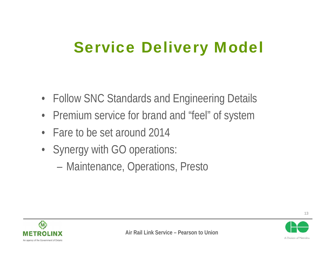### Service Delivery Model

- Follow SNC Standards and Engineering Details
- Premium service for brand and "feel" of system
- •Fare to be set around 2014
- Synergy with GO operations:
	- –Maintenance, Operations, Presto



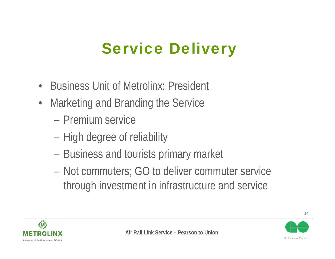## Service Delivery

- •Business Unit of Metrolinx: President
- • Marketing and Branding the Service
	- Premium service
	- –High degree of reliability
	- –Business and tourists primary market
	- – Not commuters; GO to deliver commuter service through investment in infrastructure and service